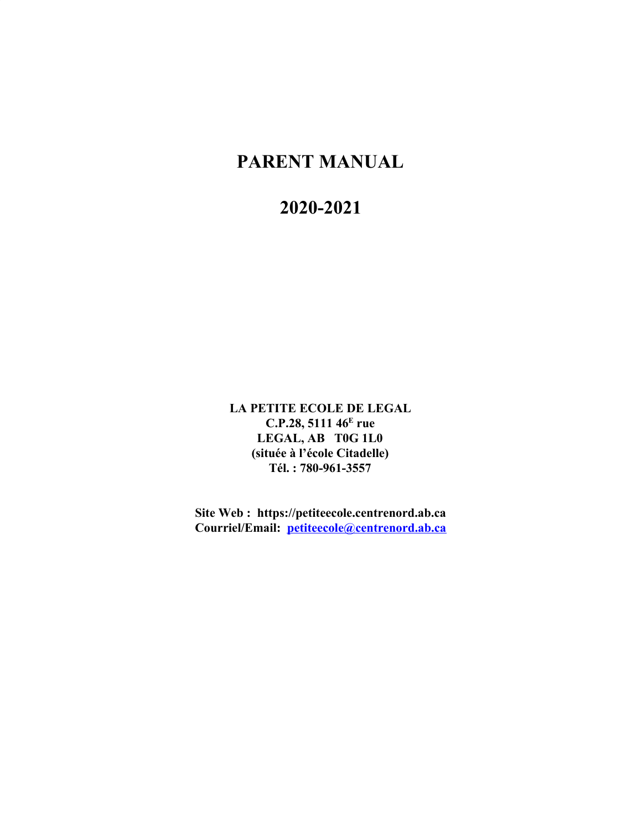# **PARENT MANUAL**

## **2020-2021**

**LA PETITE ECOLE DE LEGAL C.P.28, 5111 46<sup>E</sup> rue LEGAL, AB T0G 1L0 (située à l'école Citadelle) Tél. : 780-961-3557**

**Site Web : https://petiteecole.centrenord.ab.ca Courriel/Email: [petiteecole@centrenord.ab.ca](mailto:petiteecole@centrenord.ab.ca)**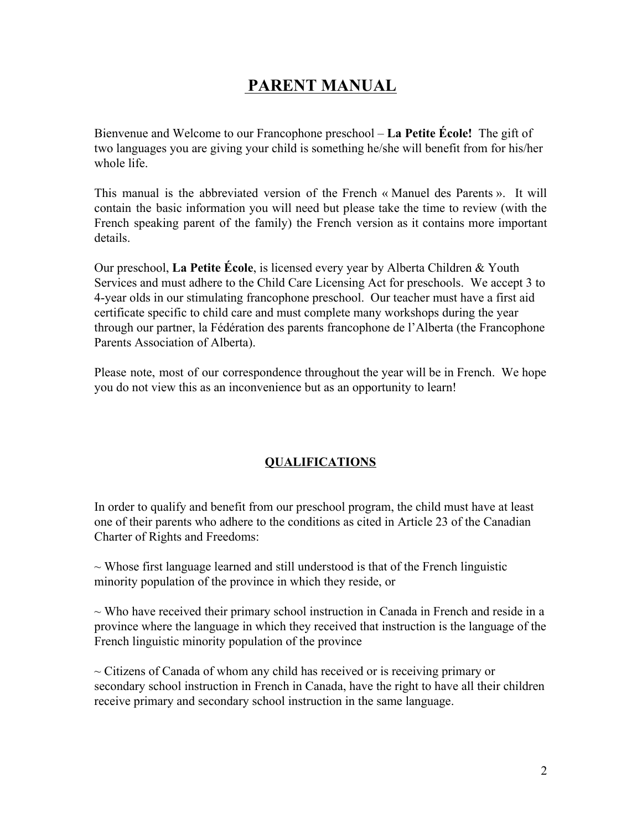## **PARENT MANUAL**

Bienvenue and Welcome to our Francophone preschool – **La Petite École!** The gift of two languages you are giving your child is something he/she will benefit from for his/her whole life.

This manual is the abbreviated version of the French « Manuel des Parents ». It will contain the basic information you will need but please take the time to review (with the French speaking parent of the family) the French version as it contains more important details.

Our preschool, **La Petite École**, is licensed every year by Alberta Children & Youth Services and must adhere to the Child Care Licensing Act for preschools. We accept 3 to 4-year olds in our stimulating francophone preschool. Our teacher must have a first aid certificate specific to child care and must complete many workshops during the year through our partner, la Fédération des parents francophone de l'Alberta (the Francophone Parents Association of Alberta).

Please note, most of our correspondence throughout the year will be in French. We hope you do not view this as an inconvenience but as an opportunity to learn!

## **QUALIFICATIONS**

In order to qualify and benefit from our preschool program, the child must have at least one of their parents who adhere to the conditions as cited in Article 23 of the Canadian Charter of Rights and Freedoms:

 $\sim$  Whose first language learned and still understood is that of the French linguistic minority population of the province in which they reside, or

 $\sim$  Who have received their primary school instruction in Canada in French and reside in a province where the language in which they received that instruction is the language of the French linguistic minority population of the province

 $\sim$  Citizens of Canada of whom any child has received or is receiving primary or secondary school instruction in French in Canada, have the right to have all their children receive primary and secondary school instruction in the same language.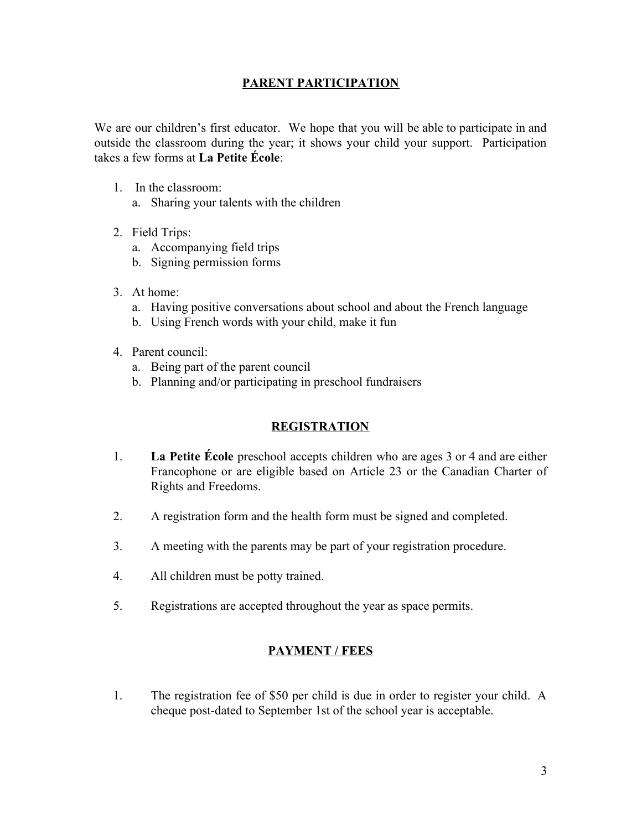#### **PARENT PARTICIPATION**

We are our children's first educator. We hope that you will be able to participate in and outside the classroom during the year; it shows your child your support. Participation takes a few forms at **La Petite École**:

- 1. In the classroom:
	- a. Sharing your talents with the children
- 2. Field Trips:
	- a. Accompanying field trips
	- b. Signing permission forms
- 3. At home:
	- a. Having positive conversations about school and about the French language
	- b. Using French words with your child, make it fun
- 4. Parent council:
	- a. Being part of the parent council
	- b. Planning and/or participating in preschool fundraisers

## **REGISTRATION**

- 1. **La Petite École** preschool accepts children who are ages 3 or 4 and are either Francophone or are eligible based on Article 23 or the Canadian Charter of Rights and Freedoms.
- 2. A registration form and the health form must be signed and completed.
- 3. A meeting with the parents may be part of your registration procedure.
- 4. All children must be potty trained.
- 5. Registrations are accepted throughout the year as space permits.

## **PAYMENT / FEES**

1. The registration fee of \$50 per child is due in order to register your child. A cheque post-dated to September 1st of the school year is acceptable.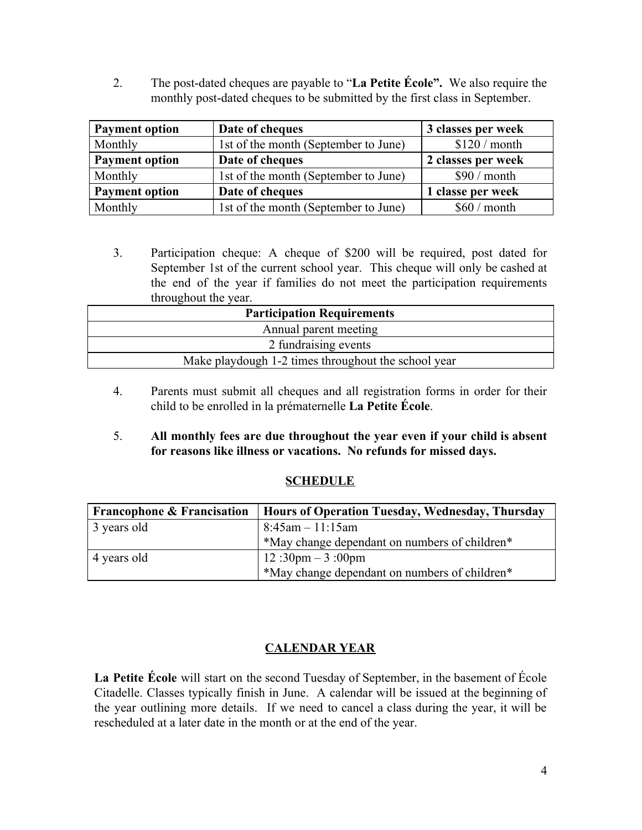2. The post-dated cheques are payable to "**La Petite École".** We also require the monthly post-dated cheques to be submitted by the first class in September.

| <b>Payment option</b> | Date of cheques                      | 3 classes per week |
|-----------------------|--------------------------------------|--------------------|
| Monthly               | 1st of the month (September to June) | \$120/month        |
| <b>Payment option</b> | Date of cheques                      | 2 classes per week |
| Monthly               | 1st of the month (September to June) | \$90 / month       |
| <b>Payment option</b> | Date of cheques                      | 1 classe per week  |
| Monthly               | 1st of the month (September to June) | $$60/m$ onth       |

3. Participation cheque: A cheque of \$200 will be required, post dated for September 1st of the current school year. This cheque will only be cashed at the end of the year if families do not meet the participation requirements throughout the year.

| <b>Participation Requirements</b>                   |  |  |
|-----------------------------------------------------|--|--|
| Annual parent meeting                               |  |  |
| 2 fundraising events                                |  |  |
| Make playdough 1-2 times throughout the school year |  |  |
|                                                     |  |  |

- 4. Parents must submit all cheques and all registration forms in order for their child to be enrolled in la prématernelle **La Petite École**.
- 5. **All monthly fees are due throughout the year even if your child is absent for reasons like illness or vacations. No refunds for missed days.**

#### **SCHEDULE**

| <b>Francophone &amp; Francisation</b> | Hours of Operation Tuesday, Wednesday, Thursday |  |
|---------------------------------------|-------------------------------------------------|--|
| 3 years old                           | $8:45$ am $-11:15$ am                           |  |
|                                       | *May change dependant on numbers of children*   |  |
| 4 years old                           | 12:30pm $-3:00$ pm                              |  |
|                                       | *May change dependant on numbers of children*   |  |

## **CALENDAR YEAR**

**La Petite École** will start on the second Tuesday of September, in the basement of École Citadelle. Classes typically finish in June. A calendar will be issued at the beginning of the year outlining more details. If we need to cancel a class during the year, it will be rescheduled at a later date in the month or at the end of the year.